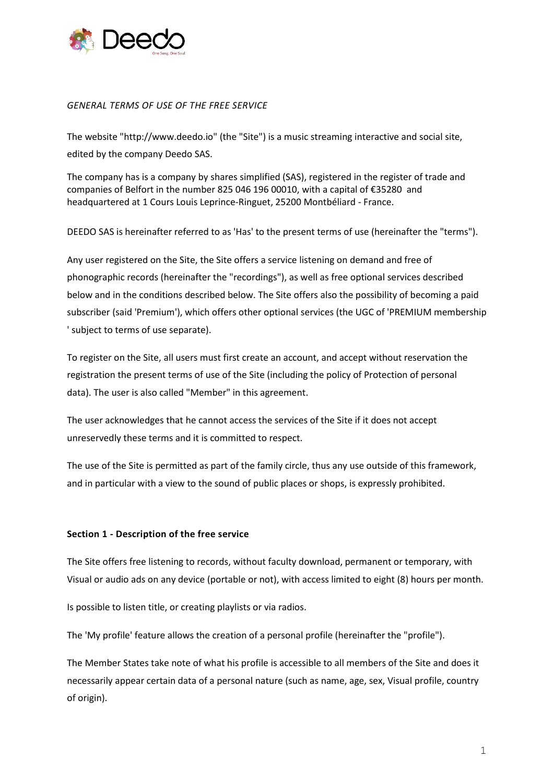

### *GENERAL TERMS OF USE OF THE FREE SERVICE*

The website "http://www.deedo.io" (the "Site") is a music streaming interactive and social site, edited by the company Deedo SAS.

The company has is a company by shares simplified (SAS), registered in the register of trade and companies of Belfort in the number 825 046 196 00010, with a capital of €35280 and headquartered at 1 Cours Louis Leprince-Ringuet, 25200 Montbéliard - France.

DEEDO SAS is hereinafter referred to as 'Has' to the present terms of use (hereinafter the "terms").

Any user registered on the Site, the Site offers a service listening on demand and free of phonographic records (hereinafter the "recordings"), as well as free optional services described below and in the conditions described below. The Site offers also the possibility of becoming a paid subscriber (said 'Premium'), which offers other optional services (the UGC of 'PREMIUM membership ' subject to terms of use separate).

To register on the Site, all users must first create an account, and accept without reservation the registration the present terms of use of the Site (including the policy of Protection of personal data). The user is also called "Member" in this agreement.

The user acknowledges that he cannot access the services of the Site if it does not accept unreservedly these terms and it is committed to respect.

The use of the Site is permitted as part of the family circle, thus any use outside of this framework, and in particular with a view to the sound of public places or shops, is expressly prohibited.

## **Section 1 - Description of the free service**

The Site offers free listening to records, without faculty download, permanent or temporary, with Visual or audio ads on any device (portable or not), with access limited to eight (8) hours per month.

Is possible to listen title, or creating playlists or via radios.

The 'My profile' feature allows the creation of a personal profile (hereinafter the "profile").

The Member States take note of what his profile is accessible to all members of the Site and does it necessarily appear certain data of a personal nature (such as name, age, sex, Visual profile, country of origin).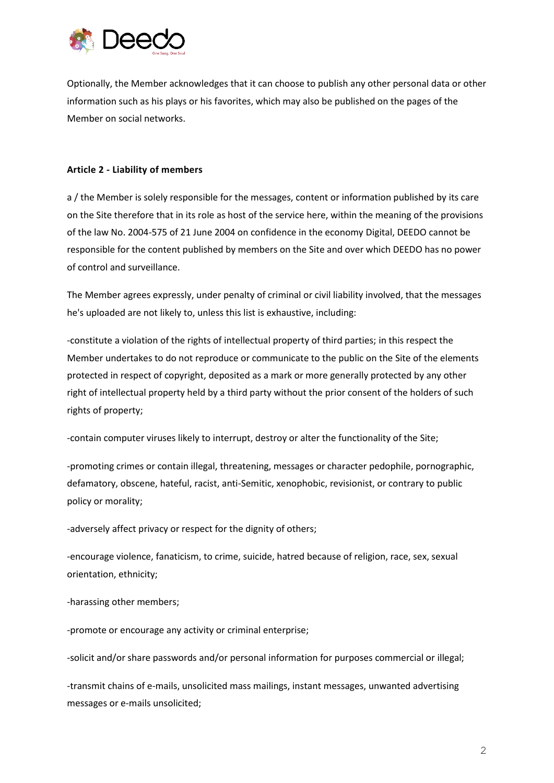

Optionally, the Member acknowledges that it can choose to publish any other personal data or other information such as his plays or his favorites, which may also be published on the pages of the Member on social networks.

## **Article 2 - Liability of members**

a / the Member is solely responsible for the messages, content or information published by its care on the Site therefore that in its role as host of the service here, within the meaning of the provisions of the law No. 2004-575 of 21 June 2004 on confidence in the economy Digital, DEEDO cannot be responsible for the content published by members on the Site and over which DEEDO has no power of control and surveillance.

The Member agrees expressly, under penalty of criminal or civil liability involved, that the messages he's uploaded are not likely to, unless this list is exhaustive, including:

-constitute a violation of the rights of intellectual property of third parties; in this respect the Member undertakes to do not reproduce or communicate to the public on the Site of the elements protected in respect of copyright, deposited as a mark or more generally protected by any other right of intellectual property held by a third party without the prior consent of the holders of such rights of property;

-contain computer viruses likely to interrupt, destroy or alter the functionality of the Site;

-promoting crimes or contain illegal, threatening, messages or character pedophile, pornographic, defamatory, obscene, hateful, racist, anti-Semitic, xenophobic, revisionist, or contrary to public policy or morality;

-adversely affect privacy or respect for the dignity of others;

-encourage violence, fanaticism, to crime, suicide, hatred because of religion, race, sex, sexual orientation, ethnicity;

-harassing other members;

-promote or encourage any activity or criminal enterprise;

-solicit and/or share passwords and/or personal information for purposes commercial or illegal;

-transmit chains of e-mails, unsolicited mass mailings, instant messages, unwanted advertising messages or e-mails unsolicited;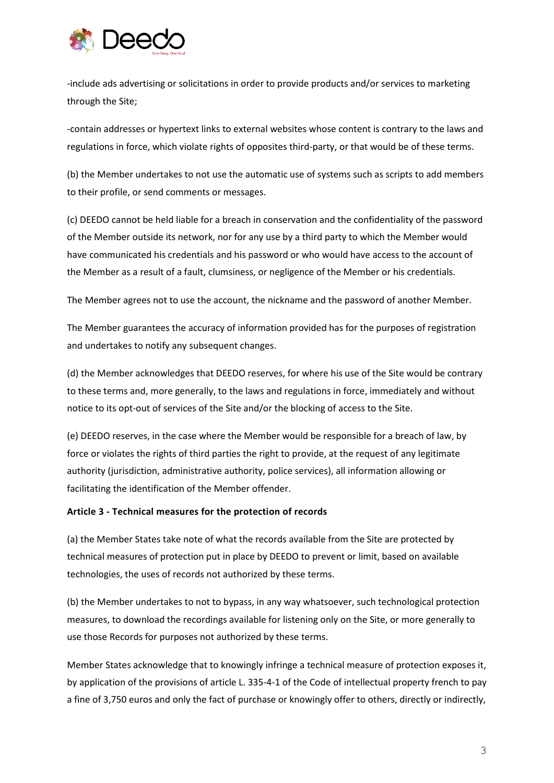

-include ads advertising or solicitations in order to provide products and/or services to marketing through the Site;

-contain addresses or hypertext links to external websites whose content is contrary to the laws and regulations in force, which violate rights of opposites third-party, or that would be of these terms.

(b) the Member undertakes to not use the automatic use of systems such as scripts to add members to their profile, or send comments or messages.

(c) DEEDO cannot be held liable for a breach in conservation and the confidentiality of the password of the Member outside its network, nor for any use by a third party to which the Member would have communicated his credentials and his password or who would have access to the account of the Member as a result of a fault, clumsiness, or negligence of the Member or his credentials.

The Member agrees not to use the account, the nickname and the password of another Member.

The Member guarantees the accuracy of information provided has for the purposes of registration and undertakes to notify any subsequent changes.

(d) the Member acknowledges that DEEDO reserves, for where his use of the Site would be contrary to these terms and, more generally, to the laws and regulations in force, immediately and without notice to its opt-out of services of the Site and/or the blocking of access to the Site.

(e) DEEDO reserves, in the case where the Member would be responsible for a breach of law, by force or violates the rights of third parties the right to provide, at the request of any legitimate authority (jurisdiction, administrative authority, police services), all information allowing or facilitating the identification of the Member offender.

#### **Article 3 - Technical measures for the protection of records**

(a) the Member States take note of what the records available from the Site are protected by technical measures of protection put in place by DEEDO to prevent or limit, based on available technologies, the uses of records not authorized by these terms.

(b) the Member undertakes to not to bypass, in any way whatsoever, such technological protection measures, to download the recordings available for listening only on the Site, or more generally to use those Records for purposes not authorized by these terms.

Member States acknowledge that to knowingly infringe a technical measure of protection exposes it, by application of the provisions of article L. 335-4-1 of the Code of intellectual property french to pay a fine of 3,750 euros and only the fact of purchase or knowingly offer to others, directly or indirectly,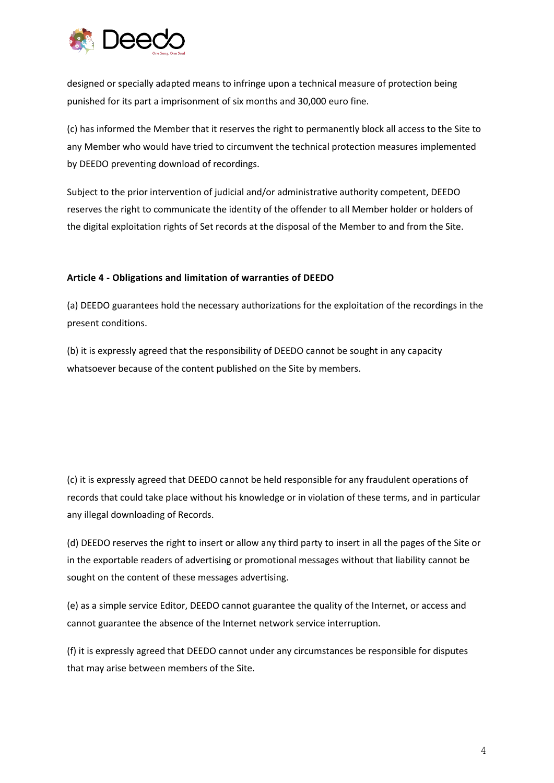

designed or specially adapted means to infringe upon a technical measure of protection being punished for its part a imprisonment of six months and 30,000 euro fine.

(c) has informed the Member that it reserves the right to permanently block all access to the Site to any Member who would have tried to circumvent the technical protection measures implemented by DEEDO preventing download of recordings.

Subject to the prior intervention of judicial and/or administrative authority competent, DEEDO reserves the right to communicate the identity of the offender to all Member holder or holders of the digital exploitation rights of Set records at the disposal of the Member to and from the Site.

## **Article 4 - Obligations and limitation of warranties of DEEDO**

(a) DEEDO guarantees hold the necessary authorizations for the exploitation of the recordings in the present conditions.

(b) it is expressly agreed that the responsibility of DEEDO cannot be sought in any capacity whatsoever because of the content published on the Site by members.

(c) it is expressly agreed that DEEDO cannot be held responsible for any fraudulent operations of records that could take place without his knowledge or in violation of these terms, and in particular any illegal downloading of Records.

(d) DEEDO reserves the right to insert or allow any third party to insert in all the pages of the Site or in the exportable readers of advertising or promotional messages without that liability cannot be sought on the content of these messages advertising.

(e) as a simple service Editor, DEEDO cannot guarantee the quality of the Internet, or access and cannot guarantee the absence of the Internet network service interruption.

(f) it is expressly agreed that DEEDO cannot under any circumstances be responsible for disputes that may arise between members of the Site.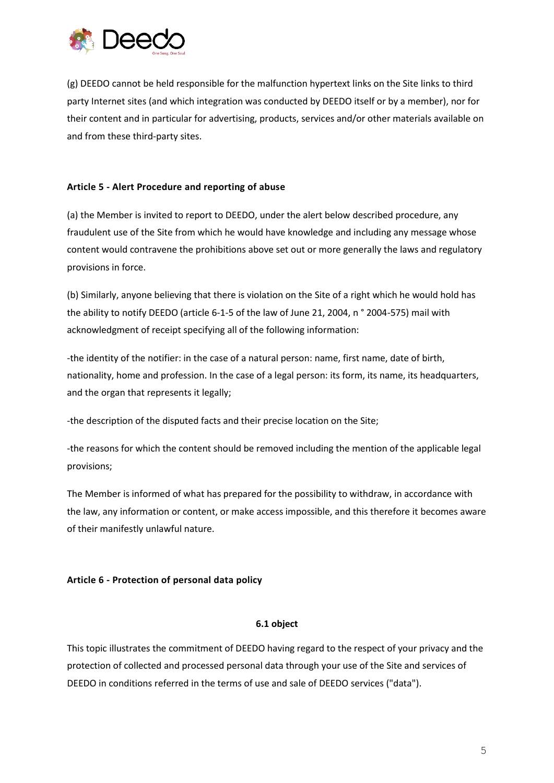

(g) DEEDO cannot be held responsible for the malfunction hypertext links on the Site links to third party Internet sites (and which integration was conducted by DEEDO itself or by a member), nor for their content and in particular for advertising, products, services and/or other materials available on and from these third-party sites.

## **Article 5 - Alert Procedure and reporting of abuse**

(a) the Member is invited to report to DEEDO, under the alert below described procedure, any fraudulent use of the Site from which he would have knowledge and including any message whose content would contravene the prohibitions above set out or more generally the laws and regulatory provisions in force.

(b) Similarly, anyone believing that there is violation on the Site of a right which he would hold has the ability to notify DEEDO (article 6-1-5 of the law of June 21, 2004, n ° 2004-575) mail with acknowledgment of receipt specifying all of the following information:

-the identity of the notifier: in the case of a natural person: name, first name, date of birth, nationality, home and profession. In the case of a legal person: its form, its name, its headquarters, and the organ that represents it legally;

-the description of the disputed facts and their precise location on the Site;

-the reasons for which the content should be removed including the mention of the applicable legal provisions;

The Member is informed of what has prepared for the possibility to withdraw, in accordance with the law, any information or content, or make access impossible, and this therefore it becomes aware of their manifestly unlawful nature.

# **Article 6 - Protection of personal data policy**

## **6.1 object**

This topic illustrates the commitment of DEEDO having regard to the respect of your privacy and the protection of collected and processed personal data through your use of the Site and services of DEEDO in conditions referred in the terms of use and sale of DEEDO services ("data").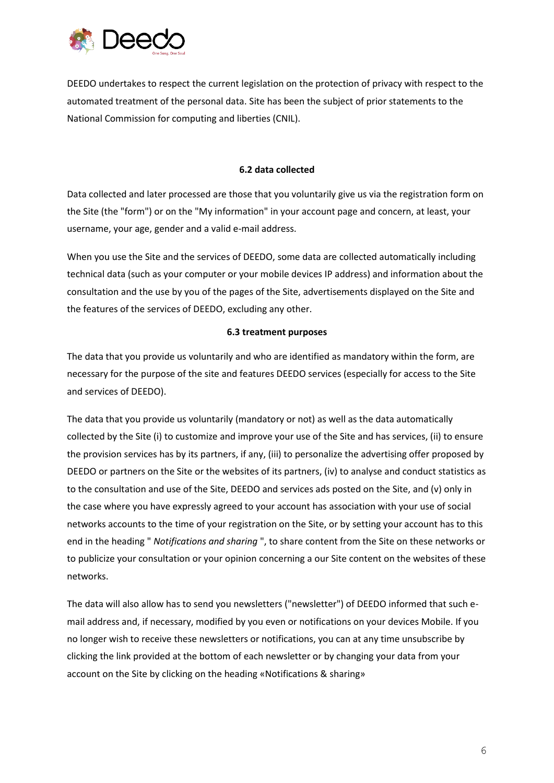

DEEDO undertakes to respect the current legislation on the protection of privacy with respect to the automated treatment of the personal data. Site has been the subject of prior statements to the National Commission for computing and liberties (CNIL).

#### **6.2 data collected**

Data collected and later processed are those that you voluntarily give us via the registration form on the Site (the "form") or on the "My information" in your account page and concern, at least, your username, your age, gender and a valid e-mail address.

When you use the Site and the services of DEEDO, some data are collected automatically including technical data (such as your computer or your mobile devices IP address) and information about the consultation and the use by you of the pages of the Site, advertisements displayed on the Site and the features of the services of DEEDO, excluding any other.

## **6.3 treatment purposes**

The data that you provide us voluntarily and who are identified as mandatory within the form, are necessary for the purpose of the site and features DEEDO services (especially for access to the Site and services of DEEDO).

The data that you provide us voluntarily (mandatory or not) as well as the data automatically collected by the Site (i) to customize and improve your use of the Site and has services, (ii) to ensure the provision services has by its partners, if any, (iii) to personalize the advertising offer proposed by DEEDO or partners on the Site or the websites of its partners, (iv) to analyse and conduct statistics as to the consultation and use of the Site, DEEDO and services ads posted on the Site, and (v) only in the case where you have expressly agreed to your account has association with your use of social networks accounts to the time of your registration on the Site, or by setting your account has to this end in the heading " *Notifications and sharing* ", to share content from the Site on these networks or to publicize your consultation or your opinion concerning a our Site content on the websites of these networks.

The data will also allow has to send you newsletters ("newsletter") of DEEDO informed that such email address and, if necessary, modified by you even or notifications on your devices Mobile. If you no longer wish to receive these newsletters or notifications, you can at any time unsubscribe by clicking the link provided at the bottom of each newsletter or by changing your data from your account on the Site by clicking on the heading «Notifications & sharing»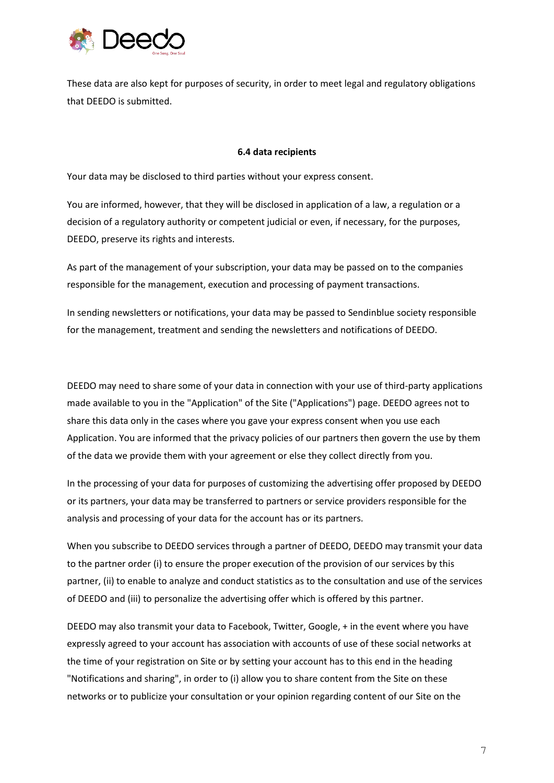

These data are also kept for purposes of security, in order to meet legal and regulatory obligations that DEEDO is submitted.

#### **6.4 data recipients**

Your data may be disclosed to third parties without your express consent.

You are informed, however, that they will be disclosed in application of a law, a regulation or a decision of a regulatory authority or competent judicial or even, if necessary, for the purposes, DEEDO, preserve its rights and interests.

As part of the management of your subscription, your data may be passed on to the companies responsible for the management, execution and processing of payment transactions.

In sending newsletters or notifications, your data may be passed to Sendinblue society responsible for the management, treatment and sending the newsletters and notifications of DEEDO.

DEEDO may need to share some of your data in connection with your use of third-party applications made available to you in the "Application" of the Site ("Applications") page. DEEDO agrees not to share this data only in the cases where you gave your express consent when you use each Application. You are informed that the privacy policies of our partners then govern the use by them of the data we provide them with your agreement or else they collect directly from you.

In the processing of your data for purposes of customizing the advertising offer proposed by DEEDO or its partners, your data may be transferred to partners or service providers responsible for the analysis and processing of your data for the account has or its partners.

When you subscribe to DEEDO services through a partner of DEEDO, DEEDO may transmit your data to the partner order (i) to ensure the proper execution of the provision of our services by this partner, (ii) to enable to analyze and conduct statistics as to the consultation and use of the services of DEEDO and (iii) to personalize the advertising offer which is offered by this partner.

DEEDO may also transmit your data to Facebook, Twitter, Google, + in the event where you have expressly agreed to your account has association with accounts of use of these social networks at the time of your registration on Site or by setting your account has to this end in the heading "Notifications and sharing", in order to (i) allow you to share content from the Site on these networks or to publicize your consultation or your opinion regarding content of our Site on the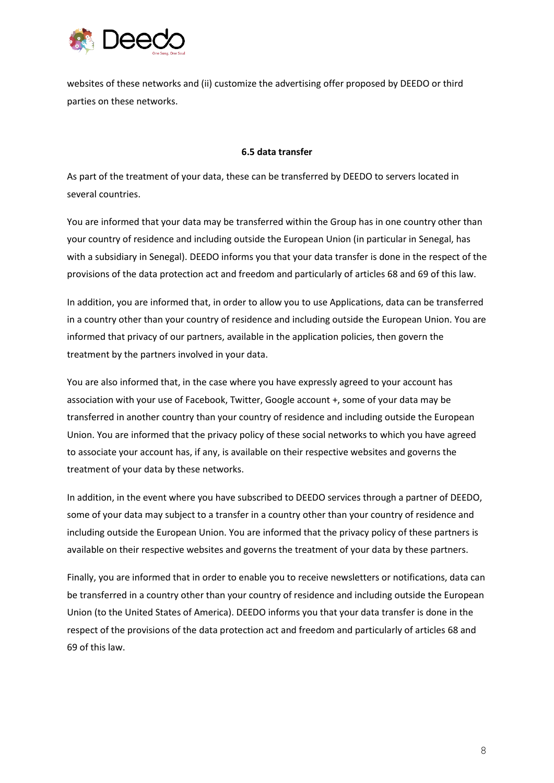

websites of these networks and (ii) customize the advertising offer proposed by DEEDO or third parties on these networks.

#### **6.5 data transfer**

As part of the treatment of your data, these can be transferred by DEEDO to servers located in several countries.

You are informed that your data may be transferred within the Group has in one country other than your country of residence and including outside the European Union (in particular in Senegal, has with a subsidiary in Senegal). DEEDO informs you that your data transfer is done in the respect of the provisions of the data protection act and freedom and particularly of articles 68 and 69 of this law.

In addition, you are informed that, in order to allow you to use Applications, data can be transferred in a country other than your country of residence and including outside the European Union. You are informed that privacy of our partners, available in the application policies, then govern the treatment by the partners involved in your data.

You are also informed that, in the case where you have expressly agreed to your account has association with your use of Facebook, Twitter, Google account +, some of your data may be transferred in another country than your country of residence and including outside the European Union. You are informed that the privacy policy of these social networks to which you have agreed to associate your account has, if any, is available on their respective websites and governs the treatment of your data by these networks.

In addition, in the event where you have subscribed to DEEDO services through a partner of DEEDO, some of your data may subject to a transfer in a country other than your country of residence and including outside the European Union. You are informed that the privacy policy of these partners is available on their respective websites and governs the treatment of your data by these partners.

Finally, you are informed that in order to enable you to receive newsletters or notifications, data can be transferred in a country other than your country of residence and including outside the European Union (to the United States of America). DEEDO informs you that your data transfer is done in the respect of the provisions of the data protection act and freedom and particularly of articles 68 and 69 of this law.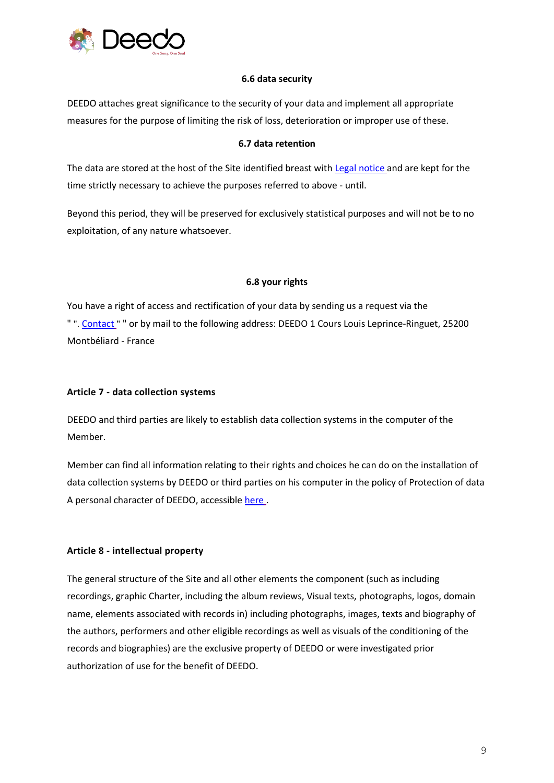

## **6.6 data security**

DEEDO attaches great significance to the security of your data and implement all appropriate measures for the purpose of limiting the risk of loss, deterioration or improper use of these.

## **6.7 data retention**

The data are stored at the host of the Site identified breast with [Legal notice](http://deedo.io/legal/deedo-en-legal.pdf) and are kept for the time strictly necessary to achieve the purposes referred to above - until.

Beyond this period, they will be preserved for exclusively statistical purposes and will not be to no exploitation, of any nature whatsoever.

## **6.8 your rights**

You have a right of access and rectification of your data by sending us a request via the " ". [Contact](http://deedo.io/en/contact) " " or by mail to the following address: DEEDO 1 Cours Louis Leprince-Ringuet, 25200 Montbéliard - France

## **Article 7 - data collection systems**

DEEDO and third parties are likely to establish data collection systems in the computer of the Member.

Member can find all information relating to their rights and choices he can do on the installation of data collection systems by DEEDO or third parties on his computer in the policy of Protection of data A personal character of DEEDO, accessible [here](http://deedo.io/legal/deedo-en-privacy.pdf) .

# **Article 8 - intellectual property**

The general structure of the Site and all other elements the component (such as including recordings, graphic Charter, including the album reviews, Visual texts, photographs, logos, domain name, elements associated with records in) including photographs, images, texts and biography of the authors, performers and other eligible recordings as well as visuals of the conditioning of the records and biographies) are the exclusive property of DEEDO or were investigated prior authorization of use for the benefit of DEEDO.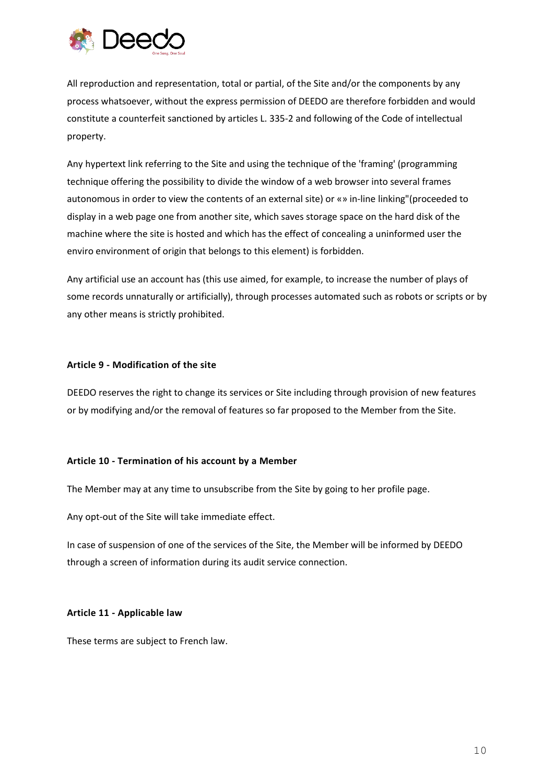

All reproduction and representation, total or partial, of the Site and/or the components by any process whatsoever, without the express permission of DEEDO are therefore forbidden and would constitute a counterfeit sanctioned by articles L. 335-2 and following of the Code of intellectual property.

Any hypertext link referring to the Site and using the technique of the 'framing' (programming technique offering the possibility to divide the window of a web browser into several frames autonomous in order to view the contents of an external site) or «» in-line linking"(proceeded to display in a web page one from another site, which saves storage space on the hard disk of the machine where the site is hosted and which has the effect of concealing a uninformed user the enviro environment of origin that belongs to this element) is forbidden.

Any artificial use an account has (this use aimed, for example, to increase the number of plays of some records unnaturally or artificially), through processes automated such as robots or scripts or by any other means is strictly prohibited.

## **Article 9 - Modification of the site**

DEEDO reserves the right to change its services or Site including through provision of new features or by modifying and/or the removal of features so far proposed to the Member from the Site.

#### **Article 10 - Termination of his account by a Member**

The Member may at any time to unsubscribe from the Site by going to her profile page.

Any opt-out of the Site will take immediate effect.

In case of suspension of one of the services of the Site, the Member will be informed by DEEDO through a screen of information during its audit service connection.

#### **Article 11 - Applicable law**

These terms are subject to French law.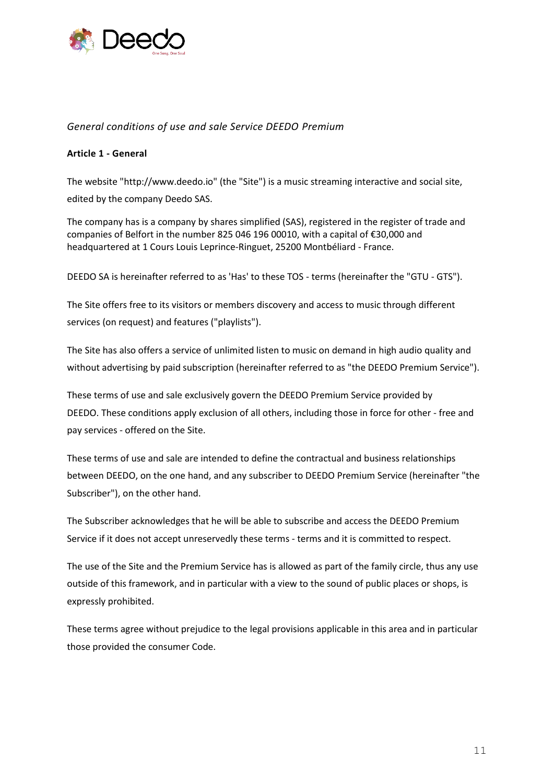

## *General conditions of use and sale Service DEEDO Premium*

## **Article 1 - General**

The website "http://www.deedo.io" (the "Site") is a music streaming interactive and social site, edited by the company Deedo SAS.

The company has is a company by shares simplified (SAS), registered in the register of trade and companies of Belfort in the number 825 046 196 00010, with a capital of €30,000 and headquartered at 1 Cours Louis Leprince-Ringuet, 25200 Montbéliard - France.

DEEDO SA is hereinafter referred to as 'Has' to these TOS - terms (hereinafter the "GTU - GTS").

The Site offers free to its visitors or members discovery and access to music through different services (on request) and features ("playlists").

The Site has also offers a service of unlimited listen to music on demand in high audio quality and without advertising by paid subscription (hereinafter referred to as "the DEEDO Premium Service").

These terms of use and sale exclusively govern the DEEDO Premium Service provided by DEEDO. These conditions apply exclusion of all others, including those in force for other - free and pay services - offered on the Site.

These terms of use and sale are intended to define the contractual and business relationships between DEEDO, on the one hand, and any subscriber to DEEDO Premium Service (hereinafter "the Subscriber"), on the other hand.

The Subscriber acknowledges that he will be able to subscribe and access the DEEDO Premium Service if it does not accept unreservedly these terms - terms and it is committed to respect.

The use of the Site and the Premium Service has is allowed as part of the family circle, thus any use outside of this framework, and in particular with a view to the sound of public places or shops, is expressly prohibited.

These terms agree without prejudice to the legal provisions applicable in this area and in particular those provided the consumer Code.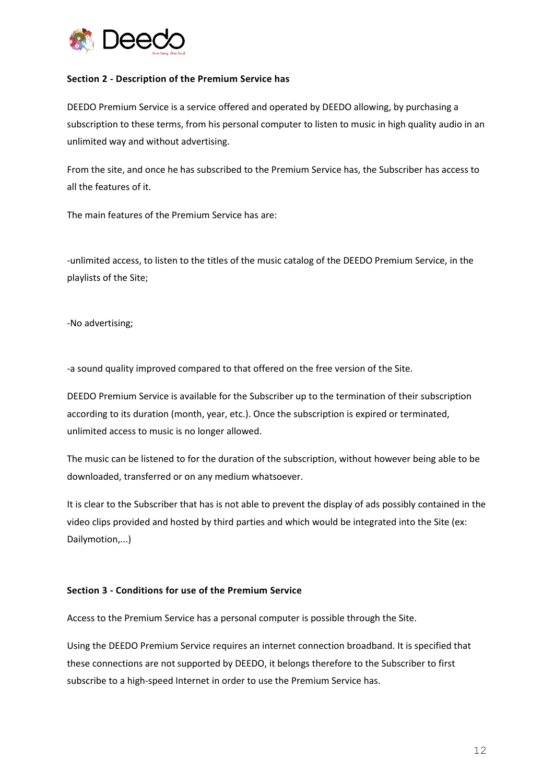

## **Section 2 - Description of the Premium Service has**

DEEDO Premium Service is a service offered and operated by DEEDO allowing, by purchasing a subscription to these terms, from his personal computer to listen to music in high quality audio in an unlimited way and without advertising.

From the site, and once he has subscribed to the Premium Service has, the Subscriber has access to all the features of it.

The main features of the Premium Service has are:

-unlimited access, to listen to the titles of the music catalog of the DEEDO Premium Service, in the playlists of the Site;

-No advertising;

-a sound quality improved compared to that offered on the free version of the Site.

DEEDO Premium Service is available for the Subscriber up to the termination of their subscription according to its duration (month, year, etc.). Once the subscription is expired or terminated, unlimited access to music is no longer allowed.

The music can be listened to for the duration of the subscription, without however being able to be downloaded, transferred or on any medium whatsoever.

It is clear to the Subscriber that has is not able to prevent the display of ads possibly contained in the video clips provided and hosted by third parties and which would be integrated into the Site (ex: Dailymotion,...)

#### **Section 3 - Conditions for use of the Premium Service**

Access to the Premium Service has a personal computer is possible through the Site.

Using the DEEDO Premium Service requires an internet connection broadband. It is specified that these connections are not supported by DEEDO, it belongs therefore to the Subscriber to first subscribe to a high-speed Internet in order to use the Premium Service has.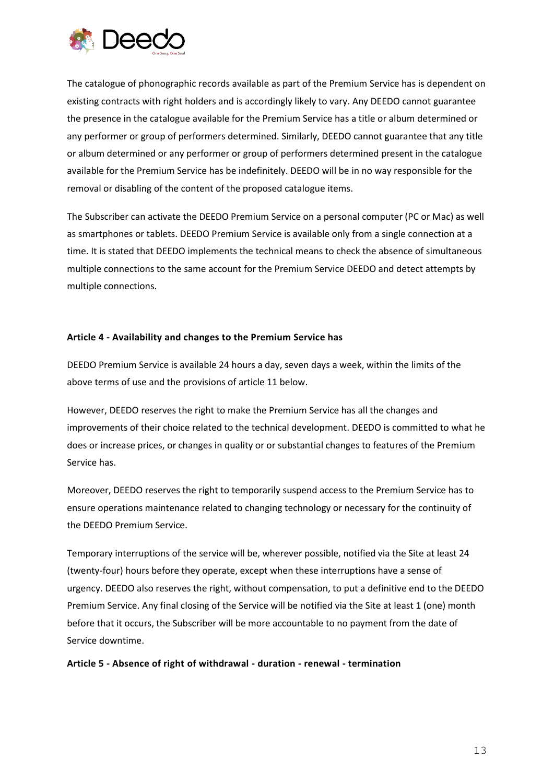

The catalogue of phonographic records available as part of the Premium Service has is dependent on existing contracts with right holders and is accordingly likely to vary. Any DEEDO cannot guarantee the presence in the catalogue available for the Premium Service has a title or album determined or any performer or group of performers determined. Similarly, DEEDO cannot guarantee that any title or album determined or any performer or group of performers determined present in the catalogue available for the Premium Service has be indefinitely. DEEDO will be in no way responsible for the removal or disabling of the content of the proposed catalogue items.

The Subscriber can activate the DEEDO Premium Service on a personal computer (PC or Mac) as well as smartphones or tablets. DEEDO Premium Service is available only from a single connection at a time. It is stated that DEEDO implements the technical means to check the absence of simultaneous multiple connections to the same account for the Premium Service DEEDO and detect attempts by multiple connections.

## **Article 4 - Availability and changes to the Premium Service has**

DEEDO Premium Service is available 24 hours a day, seven days a week, within the limits of the above terms of use and the provisions of article 11 below.

However, DEEDO reserves the right to make the Premium Service has all the changes and improvements of their choice related to the technical development. DEEDO is committed to what he does or increase prices, or changes in quality or or substantial changes to features of the Premium Service has.

Moreover, DEEDO reserves the right to temporarily suspend access to the Premium Service has to ensure operations maintenance related to changing technology or necessary for the continuity of the DEEDO Premium Service.

Temporary interruptions of the service will be, wherever possible, notified via the Site at least 24 (twenty-four) hours before they operate, except when these interruptions have a sense of urgency. DEEDO also reserves the right, without compensation, to put a definitive end to the DEEDO Premium Service. Any final closing of the Service will be notified via the Site at least 1 (one) month before that it occurs, the Subscriber will be more accountable to no payment from the date of Service downtime.

**Article 5 - Absence of right of withdrawal - duration - renewal - termination**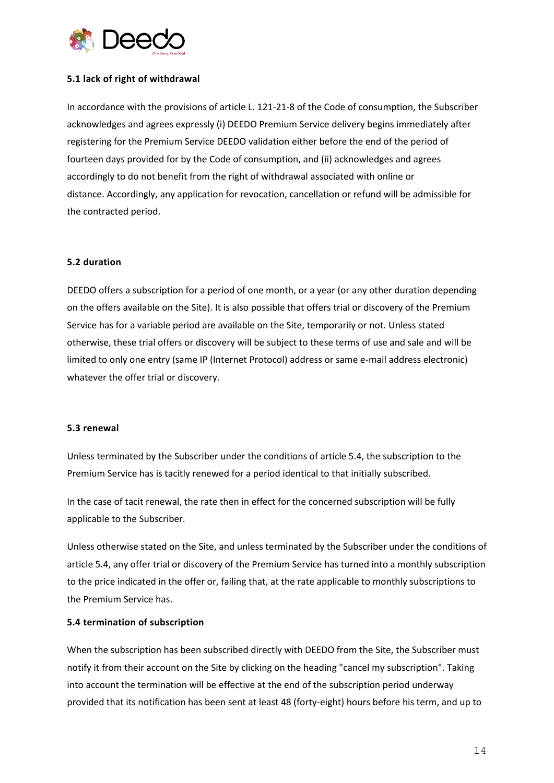

### **5.1 lack of right of withdrawal**

In accordance with the provisions of article L. 121-21-8 of the Code of consumption, the Subscriber acknowledges and agrees expressly (i) DEEDO Premium Service delivery begins immediately after registering for the Premium Service DEEDO validation either before the end of the period of fourteen days provided for by the Code of consumption, and (ii) acknowledges and agrees accordingly to do not benefit from the right of withdrawal associated with online or distance. Accordingly, any application for revocation, cancellation or refund will be admissible for the contracted period.

#### **5.2 duration**

DEEDO offers a subscription for a period of one month, or a year (or any other duration depending on the offers available on the Site). It is also possible that offers trial or discovery of the Premium Service has for a variable period are available on the Site, temporarily or not. Unless stated otherwise, these trial offers or discovery will be subject to these terms of use and sale and will be limited to only one entry (same IP (Internet Protocol) address or same e-mail address electronic) whatever the offer trial or discovery.

#### **5.3 renewal**

Unless terminated by the Subscriber under the conditions of article 5.4, the subscription to the Premium Service has is tacitly renewed for a period identical to that initially subscribed.

In the case of tacit renewal, the rate then in effect for the concerned subscription will be fully applicable to the Subscriber.

Unless otherwise stated on the Site, and unless terminated by the Subscriber under the conditions of article 5.4, any offer trial or discovery of the Premium Service has turned into a monthly subscription to the price indicated in the offer or, failing that, at the rate applicable to monthly subscriptions to the Premium Service has.

#### **5.4 termination of subscription**

When the subscription has been subscribed directly with DEEDO from the Site, the Subscriber must notify it from their account on the Site by clicking on the heading "cancel my subscription". Taking into account the termination will be effective at the end of the subscription period underway provided that its notification has been sent at least 48 (forty-eight) hours before his term, and up to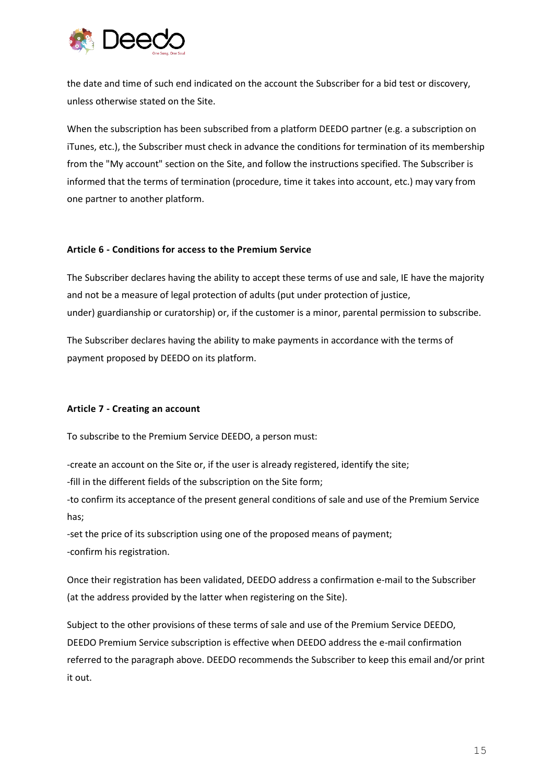

the date and time of such end indicated on the account the Subscriber for a bid test or discovery, unless otherwise stated on the Site.

When the subscription has been subscribed from a platform DEEDO partner (e.g. a subscription on iTunes, etc.), the Subscriber must check in advance the conditions for termination of its membership from the "My account" section on the Site, and follow the instructions specified. The Subscriber is informed that the terms of termination (procedure, time it takes into account, etc.) may vary from one partner to another platform.

#### **Article 6 - Conditions for access to the Premium Service**

The Subscriber declares having the ability to accept these terms of use and sale, IE have the majority and not be a measure of legal protection of adults (put under protection of justice, under) guardianship or curatorship) or, if the customer is a minor, parental permission to subscribe.

The Subscriber declares having the ability to make payments in accordance with the terms of payment proposed by DEEDO on its platform.

## **Article 7 - Creating an account**

To subscribe to the Premium Service DEEDO, a person must:

-create an account on the Site or, if the user is already registered, identify the site;

-fill in the different fields of the subscription on the Site form;

-to confirm its acceptance of the present general conditions of sale and use of the Premium Service has;

-set the price of its subscription using one of the proposed means of payment; -confirm his registration.

Once their registration has been validated, DEEDO address a confirmation e-mail to the Subscriber (at the address provided by the latter when registering on the Site).

Subject to the other provisions of these terms of sale and use of the Premium Service DEEDO, DEEDO Premium Service subscription is effective when DEEDO address the e-mail confirmation referred to the paragraph above. DEEDO recommends the Subscriber to keep this email and/or print it out.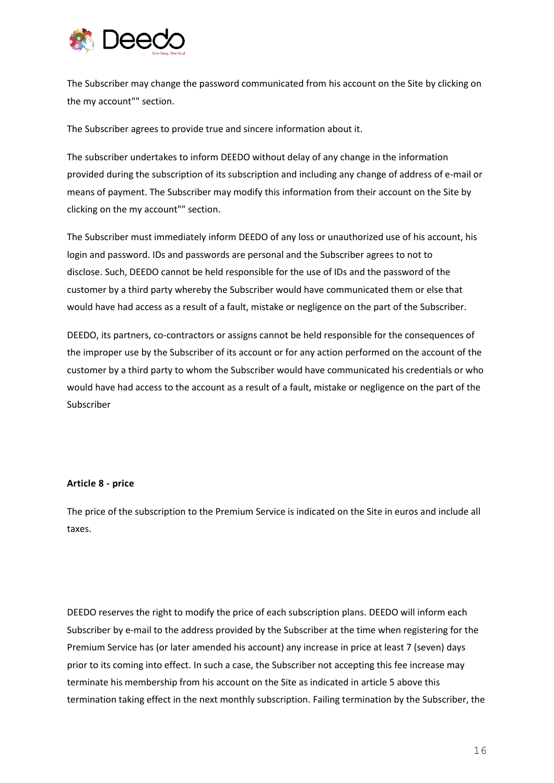

The Subscriber may change the password communicated from his account on the Site by clicking on the my account"" section.

The Subscriber agrees to provide true and sincere information about it.

The subscriber undertakes to inform DEEDO without delay of any change in the information provided during the subscription of its subscription and including any change of address of e-mail or means of payment. The Subscriber may modify this information from their account on the Site by clicking on the my account"" section.

The Subscriber must immediately inform DEEDO of any loss or unauthorized use of his account, his login and password. IDs and passwords are personal and the Subscriber agrees to not to disclose. Such, DEEDO cannot be held responsible for the use of IDs and the password of the customer by a third party whereby the Subscriber would have communicated them or else that would have had access as a result of a fault, mistake or negligence on the part of the Subscriber.

DEEDO, its partners, co-contractors or assigns cannot be held responsible for the consequences of the improper use by the Subscriber of its account or for any action performed on the account of the customer by a third party to whom the Subscriber would have communicated his credentials or who would have had access to the account as a result of a fault, mistake or negligence on the part of the Subscriber

#### **Article 8 - price**

The price of the subscription to the Premium Service is indicated on the Site in euros and include all taxes.

DEEDO reserves the right to modify the price of each subscription plans. DEEDO will inform each Subscriber by e-mail to the address provided by the Subscriber at the time when registering for the Premium Service has (or later amended his account) any increase in price at least 7 (seven) days prior to its coming into effect. In such a case, the Subscriber not accepting this fee increase may terminate his membership from his account on the Site as indicated in article 5 above this termination taking effect in the next monthly subscription. Failing termination by the Subscriber, the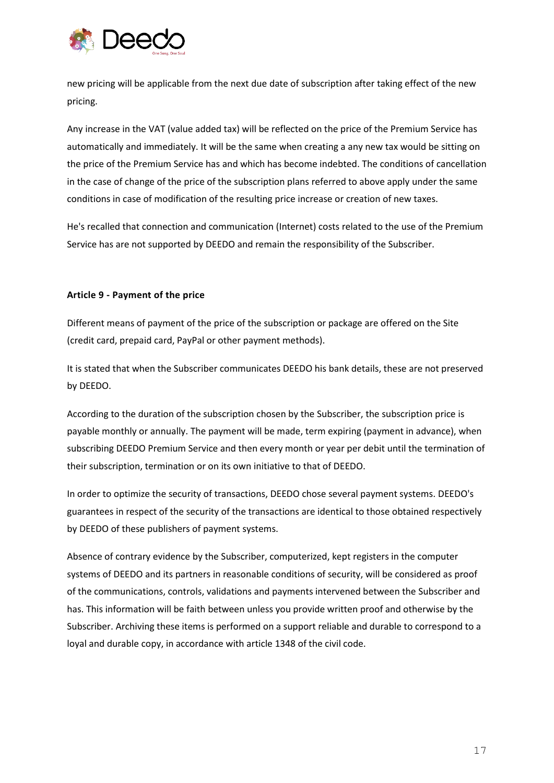

new pricing will be applicable from the next due date of subscription after taking effect of the new pricing.

Any increase in the VAT (value added tax) will be reflected on the price of the Premium Service has automatically and immediately. It will be the same when creating a any new tax would be sitting on the price of the Premium Service has and which has become indebted. The conditions of cancellation in the case of change of the price of the subscription plans referred to above apply under the same conditions in case of modification of the resulting price increase or creation of new taxes.

He's recalled that connection and communication (Internet) costs related to the use of the Premium Service has are not supported by DEEDO and remain the responsibility of the Subscriber.

## **Article 9 - Payment of the price**

Different means of payment of the price of the subscription or package are offered on the Site (credit card, prepaid card, PayPal or other payment methods).

It is stated that when the Subscriber communicates DEEDO his bank details, these are not preserved by DEEDO.

According to the duration of the subscription chosen by the Subscriber, the subscription price is payable monthly or annually. The payment will be made, term expiring (payment in advance), when subscribing DEEDO Premium Service and then every month or year per debit until the termination of their subscription, termination or on its own initiative to that of DEEDO.

In order to optimize the security of transactions, DEEDO chose several payment systems. DEEDO's guarantees in respect of the security of the transactions are identical to those obtained respectively by DEEDO of these publishers of payment systems.

Absence of contrary evidence by the Subscriber, computerized, kept registers in the computer systems of DEEDO and its partners in reasonable conditions of security, will be considered as proof of the communications, controls, validations and payments intervened between the Subscriber and has. This information will be faith between unless you provide written proof and otherwise by the Subscriber. Archiving these items is performed on a support reliable and durable to correspond to a loyal and durable copy, in accordance with article 1348 of the civil code.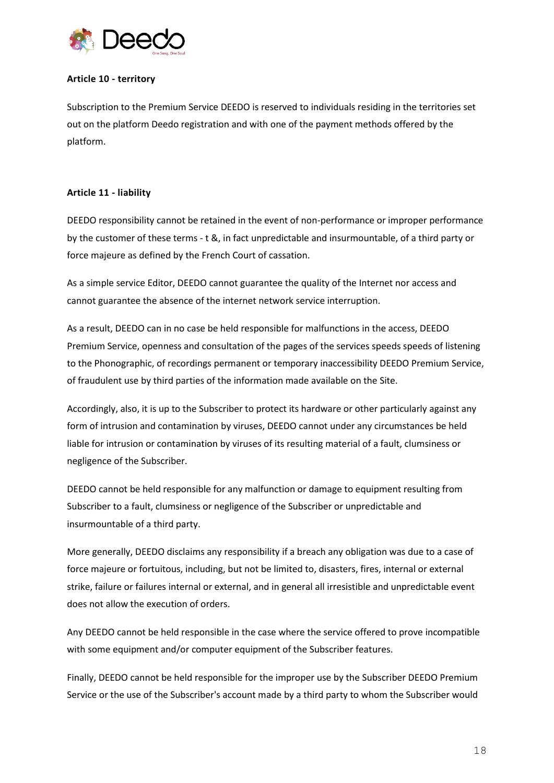

## **Article 10 - territory**

Subscription to the Premium Service DEEDO is reserved to individuals residing in the territories set out on the platform Deedo registration and with one of the payment methods offered by the platform.

## **Article 11 - liability**

DEEDO responsibility cannot be retained in the event of non-performance or improper performance by the customer of these terms - t &, in fact unpredictable and insurmountable, of a third party or force majeure as defined by the French Court of cassation.

As a simple service Editor, DEEDO cannot guarantee the quality of the Internet nor access and cannot guarantee the absence of the internet network service interruption.

As a result, DEEDO can in no case be held responsible for malfunctions in the access, DEEDO Premium Service, openness and consultation of the pages of the services speeds speeds of listening to the Phonographic, of recordings permanent or temporary inaccessibility DEEDO Premium Service, of fraudulent use by third parties of the information made available on the Site.

Accordingly, also, it is up to the Subscriber to protect its hardware or other particularly against any form of intrusion and contamination by viruses, DEEDO cannot under any circumstances be held liable for intrusion or contamination by viruses of its resulting material of a fault, clumsiness or negligence of the Subscriber.

DEEDO cannot be held responsible for any malfunction or damage to equipment resulting from Subscriber to a fault, clumsiness or negligence of the Subscriber or unpredictable and insurmountable of a third party.

More generally, DEEDO disclaims any responsibility if a breach any obligation was due to a case of force majeure or fortuitous, including, but not be limited to, disasters, fires, internal or external strike, failure or failures internal or external, and in general all irresistible and unpredictable event does not allow the execution of orders.

Any DEEDO cannot be held responsible in the case where the service offered to prove incompatible with some equipment and/or computer equipment of the Subscriber features.

Finally, DEEDO cannot be held responsible for the improper use by the Subscriber DEEDO Premium Service or the use of the Subscriber's account made by a third party to whom the Subscriber would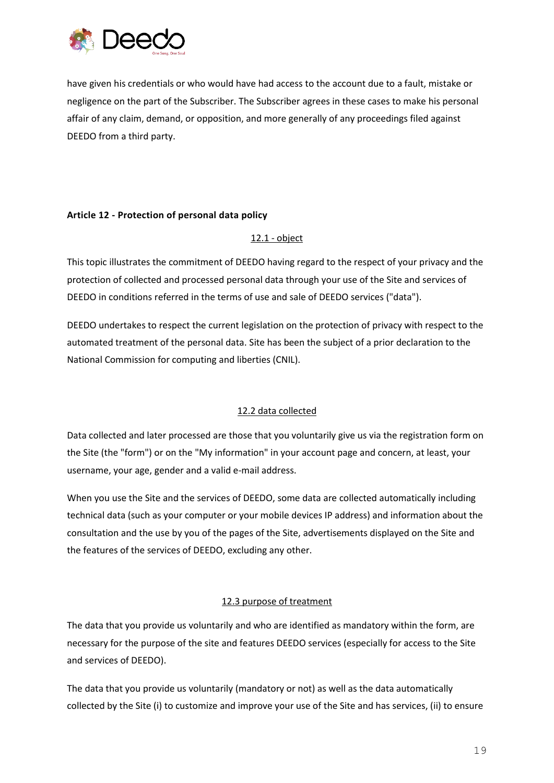

have given his credentials or who would have had access to the account due to a fault, mistake or negligence on the part of the Subscriber. The Subscriber agrees in these cases to make his personal affair of any claim, demand, or opposition, and more generally of any proceedings filed against DEEDO from a third party.

## **Article 12 - Protection of personal data policy**

# 12.1 - object

This topic illustrates the commitment of DEEDO having regard to the respect of your privacy and the protection of collected and processed personal data through your use of the Site and services of DEEDO in conditions referred in the terms of use and sale of DEEDO services ("data").

DEEDO undertakes to respect the current legislation on the protection of privacy with respect to the automated treatment of the personal data. Site has been the subject of a prior declaration to the National Commission for computing and liberties (CNIL).

# 12.2 data collected

Data collected and later processed are those that you voluntarily give us via the registration form on the Site (the "form") or on the "My information" in your account page and concern, at least, your username, your age, gender and a valid e-mail address.

When you use the Site and the services of DEEDO, some data are collected automatically including technical data (such as your computer or your mobile devices IP address) and information about the consultation and the use by you of the pages of the Site, advertisements displayed on the Site and the features of the services of DEEDO, excluding any other.

# 12.3 purpose of treatment

The data that you provide us voluntarily and who are identified as mandatory within the form, are necessary for the purpose of the site and features DEEDO services (especially for access to the Site and services of DEEDO).

The data that you provide us voluntarily (mandatory or not) as well as the data automatically collected by the Site (i) to customize and improve your use of the Site and has services, (ii) to ensure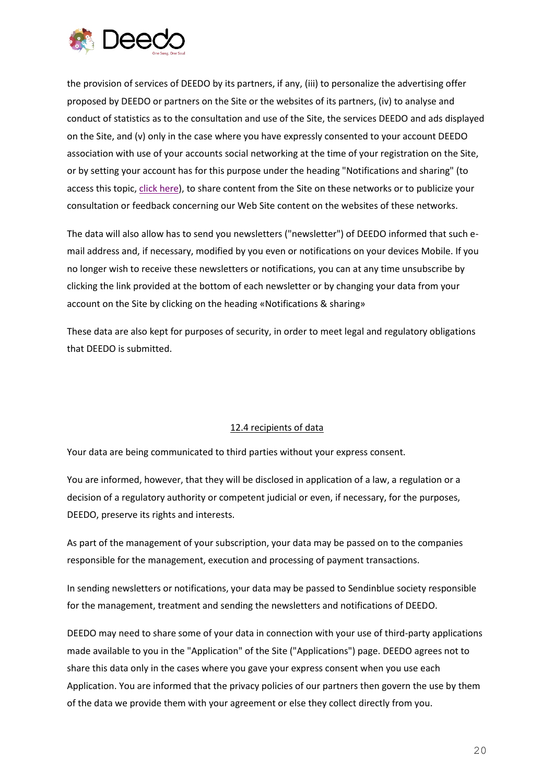

the provision of services of DEEDO by its partners, if any, (iii) to personalize the advertising offer proposed by DEEDO or partners on the Site or the websites of its partners, (iv) to analyse and conduct of statistics as to the consultation and use of the Site, the services DEEDO and ads displayed on the Site, and (v) only in the case where you have expressly consented to your account DEEDO association with use of your accounts social networking at the time of your registration on the Site, or by setting your account has for this purpose under the heading "Notifications and sharing" (to access this topic, [click here\)](http://deedo.io/en/my-account), to share content from the Site on these networks or to publicize your consultation or feedback concerning our Web Site content on the websites of these networks.

The data will also allow has to send you newsletters ("newsletter") of DEEDO informed that such email address and, if necessary, modified by you even or notifications on your devices Mobile. If you no longer wish to receive these newsletters or notifications, you can at any time unsubscribe by clicking the link provided at the bottom of each newsletter or by changing your data from your account on the Site by clicking on the heading «Notifications & sharing»

These data are also kept for purposes of security, in order to meet legal and regulatory obligations that DEEDO is submitted.

## 12.4 recipients of data

Your data are being communicated to third parties without your express consent.

You are informed, however, that they will be disclosed in application of a law, a regulation or a decision of a regulatory authority or competent judicial or even, if necessary, for the purposes, DEEDO, preserve its rights and interests.

As part of the management of your subscription, your data may be passed on to the companies responsible for the management, execution and processing of payment transactions.

In sending newsletters or notifications, your data may be passed to Sendinblue society responsible for the management, treatment and sending the newsletters and notifications of DEEDO.

DEEDO may need to share some of your data in connection with your use of third-party applications made available to you in the "Application" of the Site ("Applications") page. DEEDO agrees not to share this data only in the cases where you gave your express consent when you use each Application. You are informed that the privacy policies of our partners then govern the use by them of the data we provide them with your agreement or else they collect directly from you.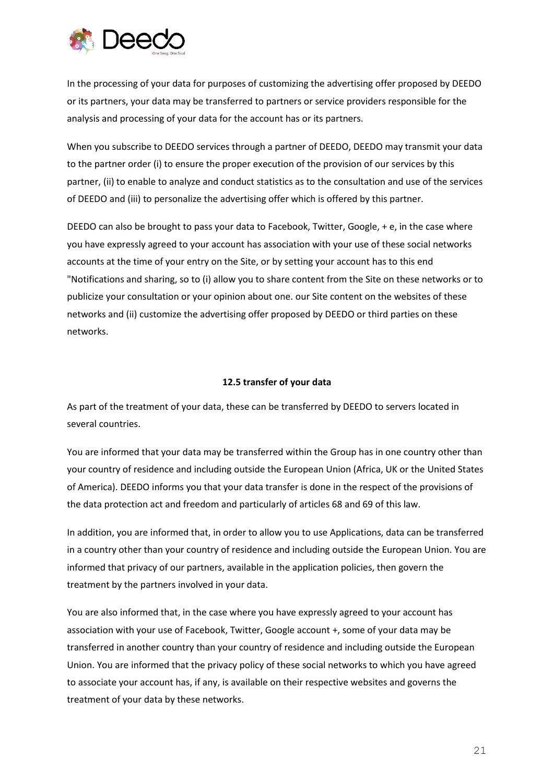

In the processing of your data for purposes of customizing the advertising offer proposed by DEEDO or its partners, your data may be transferred to partners or service providers responsible for the analysis and processing of your data for the account has or its partners.

When you subscribe to DEEDO services through a partner of DEEDO, DEEDO may transmit your data to the partner order (i) to ensure the proper execution of the provision of our services by this partner, (ii) to enable to analyze and conduct statistics as to the consultation and use of the services of DEEDO and (iii) to personalize the advertising offer which is offered by this partner.

DEEDO can also be brought to pass your data to Facebook, Twitter, Google, + e, in the case where you have expressly agreed to your account has association with your use of these social networks accounts at the time of your entry on the Site, or by setting your account has to this end "Notifications and sharing, so to (i) allow you to share content from the Site on these networks or to publicize your consultation or your opinion about one. our Site content on the websites of these networks and (ii) customize the advertising offer proposed by DEEDO or third parties on these networks.

#### **12.5 transfer of your data**

As part of the treatment of your data, these can be transferred by DEEDO to servers located in several countries.

You are informed that your data may be transferred within the Group has in one country other than your country of residence and including outside the European Union (Africa, UK or the United States of America). DEEDO informs you that your data transfer is done in the respect of the provisions of the data protection act and freedom and particularly of articles 68 and 69 of this law.

In addition, you are informed that, in order to allow you to use Applications, data can be transferred in a country other than your country of residence and including outside the European Union. You are informed that privacy of our partners, available in the application policies, then govern the treatment by the partners involved in your data.

You are also informed that, in the case where you have expressly agreed to your account has association with your use of Facebook, Twitter, Google account +, some of your data may be transferred in another country than your country of residence and including outside the European Union. You are informed that the privacy policy of these social networks to which you have agreed to associate your account has, if any, is available on their respective websites and governs the treatment of your data by these networks.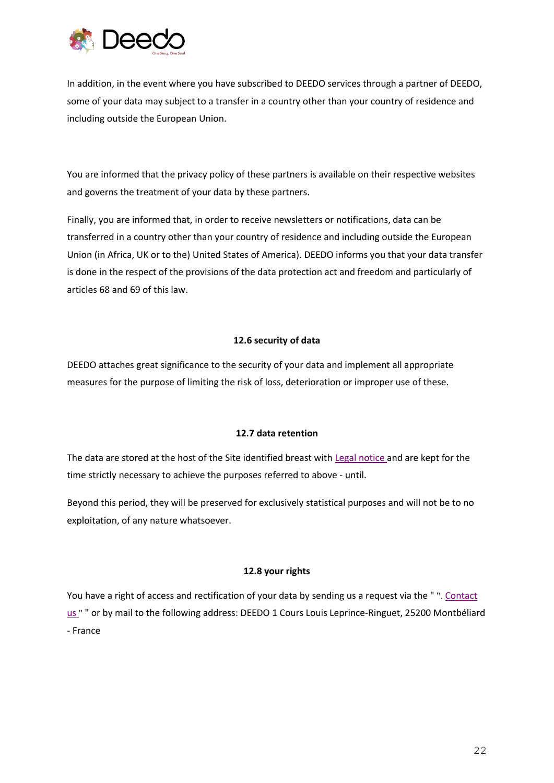

In addition, in the event where you have subscribed to DEEDO services through a partner of DEEDO, some of your data may subject to a transfer in a country other than your country of residence and including outside the European Union.

You are informed that the privacy policy of these partners is available on their respective websites and governs the treatment of your data by these partners.

Finally, you are informed that, in order to receive newsletters or notifications, data can be transferred in a country other than your country of residence and including outside the European Union (in Africa, UK or to the) United States of America). DEEDO informs you that your data transfer is done in the respect of the provisions of the data protection act and freedom and particularly of articles 68 and 69 of this law.

## **12.6 security of data**

DEEDO attaches great significance to the security of your data and implement all appropriate measures for the purpose of limiting the risk of loss, deterioration or improper use of these.

#### **12.7 data retention**

The data are stored at the host of the Site identified breast with [Legal notice](http://deedo.io/legal/deedo-en-legal.pdf) and are kept for the time strictly necessary to achieve the purposes referred to above - until.

Beyond this period, they will be preserved for exclusively statistical purposes and will not be to no exploitation, of any nature whatsoever.

## **12.8 your rights**

You have a right of access and rectification of your data by sending us a request via the " ". [Contact](http://deedo.io/en/contact)  [us](http://deedo.io/en/contact) " " or by mail to the following address: DEEDO 1 Cours Louis Leprince-Ringuet, 25200 Montbéliard - France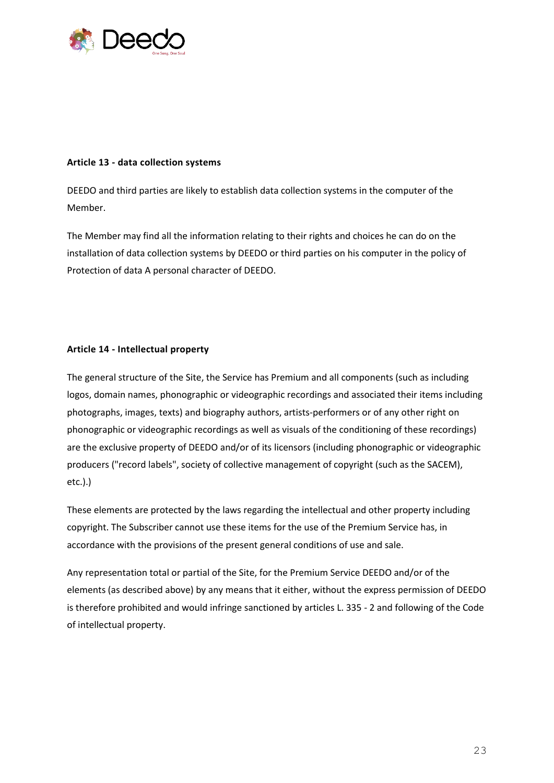

#### **Article 13 - data collection systems**

DEEDO and third parties are likely to establish data collection systems in the computer of the Member.

The Member may find all the information relating to their rights and choices he can do on the installation of data collection systems by DEEDO or third parties on his computer in the policy of Protection of data A personal character of DEEDO.

## **Article 14 - Intellectual property**

The general structure of the Site, the Service has Premium and all components (such as including logos, domain names, phonographic or videographic recordings and associated their items including photographs, images, texts) and biography authors, artists-performers or of any other right on phonographic or videographic recordings as well as visuals of the conditioning of these recordings) are the exclusive property of DEEDO and/or of its licensors (including phonographic or videographic producers ("record labels", society of collective management of copyright (such as the SACEM), etc.).)

These elements are protected by the laws regarding the intellectual and other property including copyright. The Subscriber cannot use these items for the use of the Premium Service has, in accordance with the provisions of the present general conditions of use and sale.

Any representation total or partial of the Site, for the Premium Service DEEDO and/or of the elements (as described above) by any means that it either, without the express permission of DEEDO is therefore prohibited and would infringe sanctioned by articles L. 335 - 2 and following of the Code of intellectual property.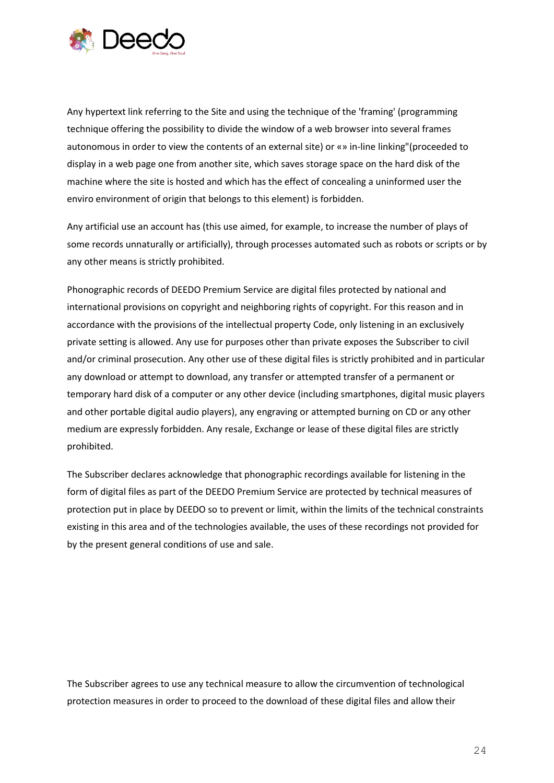

Any hypertext link referring to the Site and using the technique of the 'framing' (programming technique offering the possibility to divide the window of a web browser into several frames autonomous in order to view the contents of an external site) or «» in-line linking"(proceeded to display in a web page one from another site, which saves storage space on the hard disk of the machine where the site is hosted and which has the effect of concealing a uninformed user the enviro environment of origin that belongs to this element) is forbidden.

Any artificial use an account has (this use aimed, for example, to increase the number of plays of some records unnaturally or artificially), through processes automated such as robots or scripts or by any other means is strictly prohibited.

Phonographic records of DEEDO Premium Service are digital files protected by national and international provisions on copyright and neighboring rights of copyright. For this reason and in accordance with the provisions of the intellectual property Code, only listening in an exclusively private setting is allowed. Any use for purposes other than private exposes the Subscriber to civil and/or criminal prosecution. Any other use of these digital files is strictly prohibited and in particular any download or attempt to download, any transfer or attempted transfer of a permanent or temporary hard disk of a computer or any other device (including smartphones, digital music players and other portable digital audio players), any engraving or attempted burning on CD or any other medium are expressly forbidden. Any resale, Exchange or lease of these digital files are strictly prohibited.

The Subscriber declares acknowledge that phonographic recordings available for listening in the form of digital files as part of the DEEDO Premium Service are protected by technical measures of protection put in place by DEEDO so to prevent or limit, within the limits of the technical constraints existing in this area and of the technologies available, the uses of these recordings not provided for by the present general conditions of use and sale.

The Subscriber agrees to use any technical measure to allow the circumvention of technological protection measures in order to proceed to the download of these digital files and allow their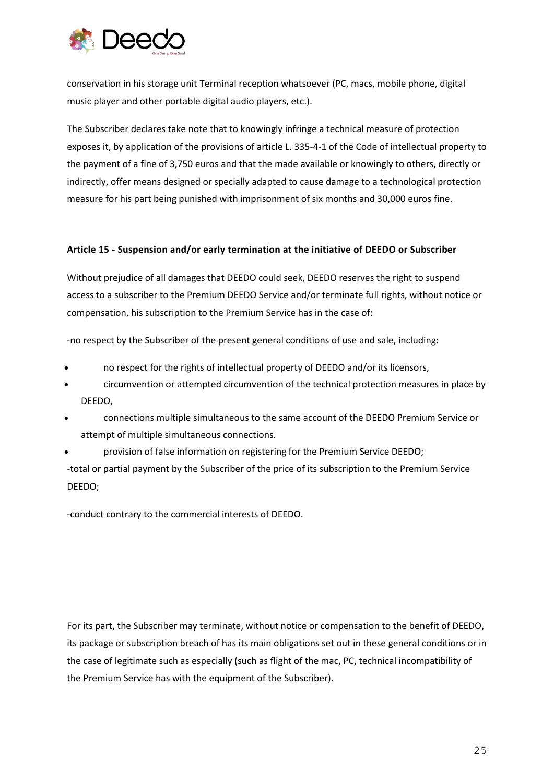

conservation in his storage unit Terminal reception whatsoever (PC, macs, mobile phone, digital music player and other portable digital audio players, etc.).

The Subscriber declares take note that to knowingly infringe a technical measure of protection exposes it, by application of the provisions of article L. 335-4-1 of the Code of intellectual property to the payment of a fine of 3,750 euros and that the made available or knowingly to others, directly or indirectly, offer means designed or specially adapted to cause damage to a technological protection measure for his part being punished with imprisonment of six months and 30,000 euros fine.

#### **Article 15 - Suspension and/or early termination at the initiative of DEEDO or Subscriber**

Without prejudice of all damages that DEEDO could seek, DEEDO reserves the right to suspend access to a subscriber to the Premium DEEDO Service and/or terminate full rights, without notice or compensation, his subscription to the Premium Service has in the case of:

-no respect by the Subscriber of the present general conditions of use and sale, including:

- no respect for the rights of intellectual property of DEEDO and/or its licensors,
- circumvention or attempted circumvention of the technical protection measures in place by DEEDO,
- connections multiple simultaneous to the same account of the DEEDO Premium Service or attempt of multiple simultaneous connections.
- provision of false information on registering for the Premium Service DEEDO;

-total or partial payment by the Subscriber of the price of its subscription to the Premium Service DEEDO;

-conduct contrary to the commercial interests of DEEDO.

For its part, the Subscriber may terminate, without notice or compensation to the benefit of DEEDO, its package or subscription breach of has its main obligations set out in these general conditions or in the case of legitimate such as especially (such as flight of the mac, PC, technical incompatibility of the Premium Service has with the equipment of the Subscriber).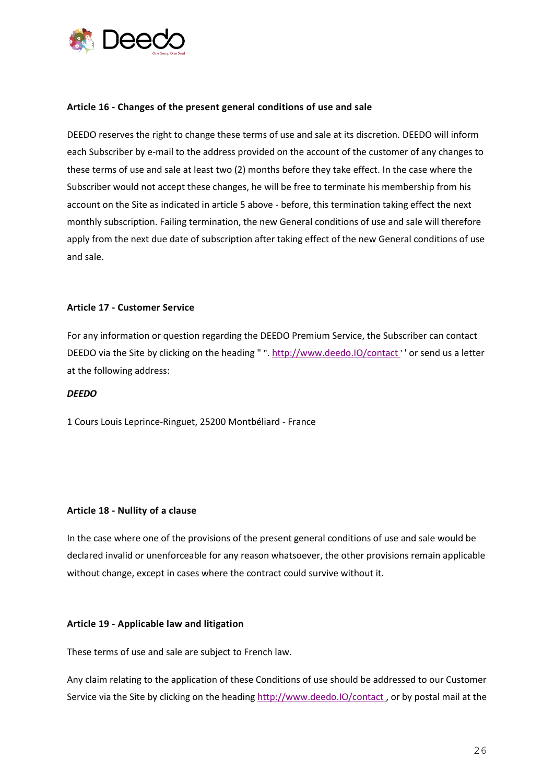

#### **Article 16 - Changes of the present general conditions of use and sale**

DEEDO reserves the right to change these terms of use and sale at its discretion. DEEDO will inform each Subscriber by e-mail to the address provided on the account of the customer of any changes to these terms of use and sale at least two (2) months before they take effect. In the case where the Subscriber would not accept these changes, he will be free to terminate his membership from his account on the Site as indicated in article 5 above - before, this termination taking effect the next monthly subscription. Failing termination, the new General conditions of use and sale will therefore apply from the next due date of subscription after taking effect of the new General conditions of use and sale.

#### **Article 17 - Customer Service**

For any information or question regarding the DEEDO Premium Service, the Subscriber can contact DEEDO via the Site by clicking on the heading " ". [http://www.deedo.IO/contact](http://deedo.io/en/contact) ' ' or send us a letter at the following address:

#### *DEEDO*

1 Cours Louis Leprince-Ringuet, 25200 Montbéliard - France

#### **Article 18 - Nullity of a clause**

In the case where one of the provisions of the present general conditions of use and sale would be declared invalid or unenforceable for any reason whatsoever, the other provisions remain applicable without change, except in cases where the contract could survive without it.

#### **Article 19 - Applicable law and litigation**

These terms of use and sale are subject to French law.

Any claim relating to the application of these Conditions of use should be addressed to our Customer Service via the Site by clicking on the heading [http://www.deedo.IO/contact](http://deedo.io/en/contact) , or by postal mail at the